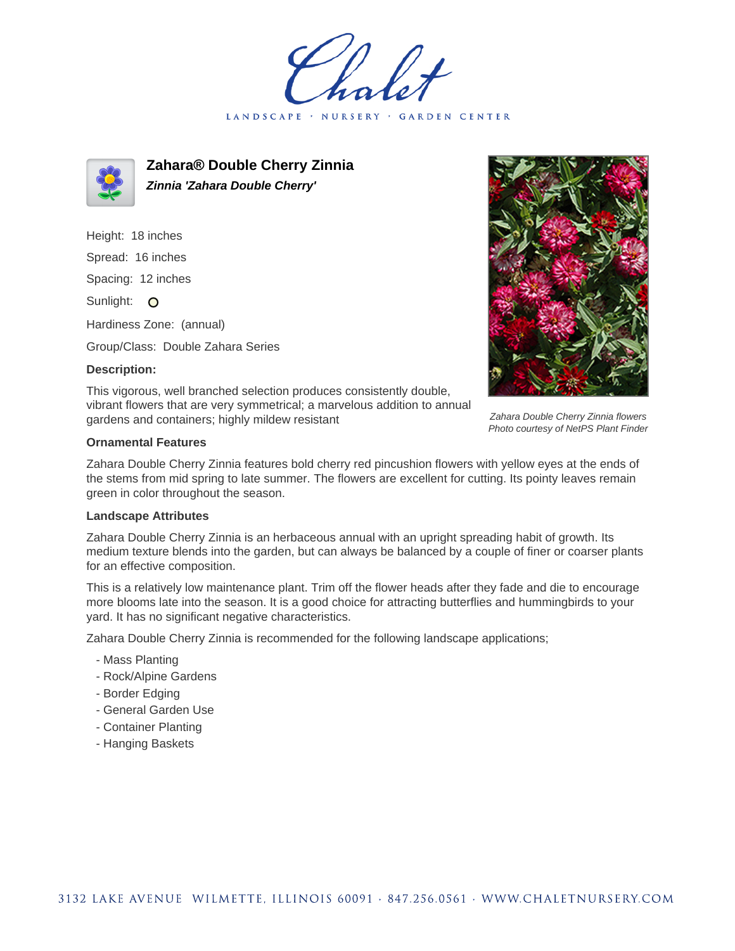LANDSCAPE · **GARDEN CENTER** 



**Zahara® Double Cherry Zinnia Zinnia 'Zahara Double Cherry'**

Height: 18 inches Spread: 16 inches Spacing: 12 inches Sunlight: O Hardiness Zone: (annual)

Group/Class: Double Zahara Series

## **Description:**



Zahara Double Cherry Zinnia flowers Photo courtesy of NetPS Plant Finder

This vigorous, well branched selection produces consistently double, vibrant flowers that are very symmetrical; a marvelous addition to annual gardens and containers; highly mildew resistant

## **Ornamental Features**

Zahara Double Cherry Zinnia features bold cherry red pincushion flowers with yellow eyes at the ends of the stems from mid spring to late summer. The flowers are excellent for cutting. Its pointy leaves remain green in color throughout the season.

## **Landscape Attributes**

Zahara Double Cherry Zinnia is an herbaceous annual with an upright spreading habit of growth. Its medium texture blends into the garden, but can always be balanced by a couple of finer or coarser plants for an effective composition.

This is a relatively low maintenance plant. Trim off the flower heads after they fade and die to encourage more blooms late into the season. It is a good choice for attracting butterflies and hummingbirds to your yard. It has no significant negative characteristics.

Zahara Double Cherry Zinnia is recommended for the following landscape applications;

- Mass Planting
- Rock/Alpine Gardens
- Border Edging
- General Garden Use
- Container Planting
- Hanging Baskets